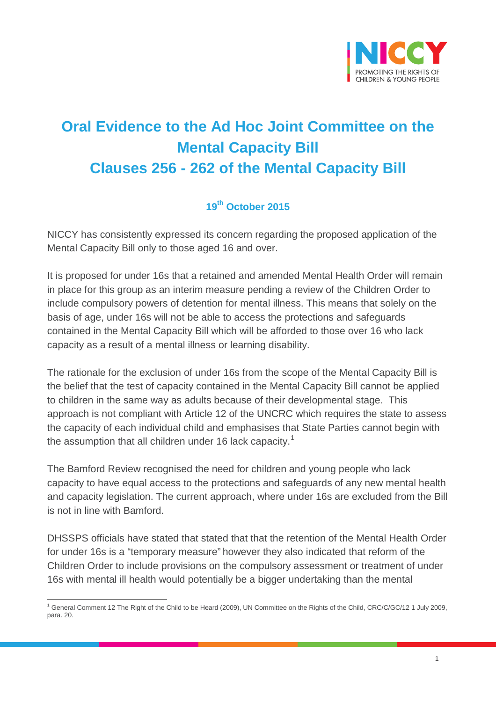

## **Oral Evidence to the Ad Hoc Joint Committee on the Mental Capacity Bill Clauses 256 - 262 of the Mental Capacity Bill**

## **19th October 2015**

NICCY has consistently expressed its concern regarding the proposed application of the Mental Capacity Bill only to those aged 16 and over.

It is proposed for under 16s that a retained and amended Mental Health Order will remain in place for this group as an interim measure pending a review of the Children Order to include compulsory powers of detention for mental illness. This means that solely on the basis of age, under 16s will not be able to access the protections and safeguards contained in the Mental Capacity Bill which will be afforded to those over 16 who lack capacity as a result of a mental illness or learning disability.

The rationale for the exclusion of under 16s from the scope of the Mental Capacity Bill is the belief that the test of capacity contained in the Mental Capacity Bill cannot be applied to children in the same way as adults because of their developmental stage. This approach is not compliant with Article 12 of the UNCRC which requires the state to assess the capacity of each individual child and emphasises that State Parties cannot begin with the assumption that all children under [1](#page-0-0)6 lack capacity.<sup>1</sup>

The Bamford Review recognised the need for children and young people who lack capacity to have equal access to the protections and safeguards of any new mental health and capacity legislation. The current approach, where under 16s are excluded from the Bill is not in line with Bamford.

DHSSPS officials have stated that stated that that the retention of the Mental Health Order for under 16s is a "temporary measure" however they also indicated that reform of the Children Order to include provisions on the compulsory assessment or treatment of under 16s with mental ill health would potentially be a bigger undertaking than the mental

<span id="page-0-0"></span><sup>1</sup> General Comment 12 The Right of the Child to be Heard (2009), UN Committee on the Rights of the Child, CRC/C/GC/12 1 July 2009, para. 20.